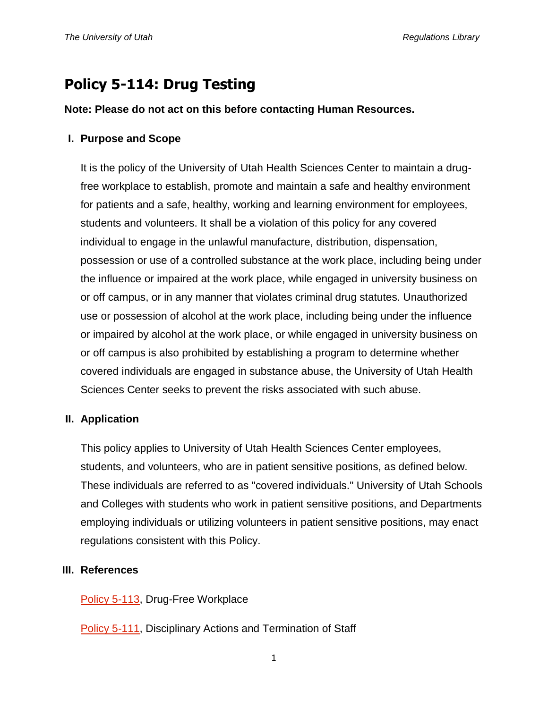# **Policy 5-114: Drug Testing**

### **Note: Please do not act on this before contacting Human Resources.**

## **I. Purpose and Scope**

It is the policy of the University of Utah Health Sciences Center to maintain a drugfree workplace to establish, promote and maintain a safe and healthy environment for patients and a safe, healthy, working and learning environment for employees, students and volunteers. It shall be a violation of this policy for any covered individual to engage in the unlawful manufacture, distribution, dispensation, possession or use of a controlled substance at the work place, including being under the influence or impaired at the work place, while engaged in university business on or off campus, or in any manner that violates criminal drug statutes. Unauthorized use or possession of alcohol at the work place, including being under the influence or impaired by alcohol at the work place, or while engaged in university business on or off campus is also prohibited by establishing a program to determine whether covered individuals are engaged in substance abuse, the University of Utah Health Sciences Center seeks to prevent the risks associated with such abuse.

## **II. Application**

This policy applies to University of Utah Health Sciences Center employees, students, and volunteers, who are in patient sensitive positions, as defined below. These individuals are referred to as "covered individuals." University of Utah Schools and Colleges with students who work in patient sensitive positions, and Departments employing individuals or utilizing volunteers in patient sensitive positions, may enact regulations consistent with this Policy.

## **III. References**

[Policy 5-113,](http://regulations.utah.edu/human-resources/5-113.php) Drug-Free Workplace

**[Policy 5-111,](http://regulations.utah.edu/human-resources/5-111.php) Disciplinary Actions and Termination of Staff**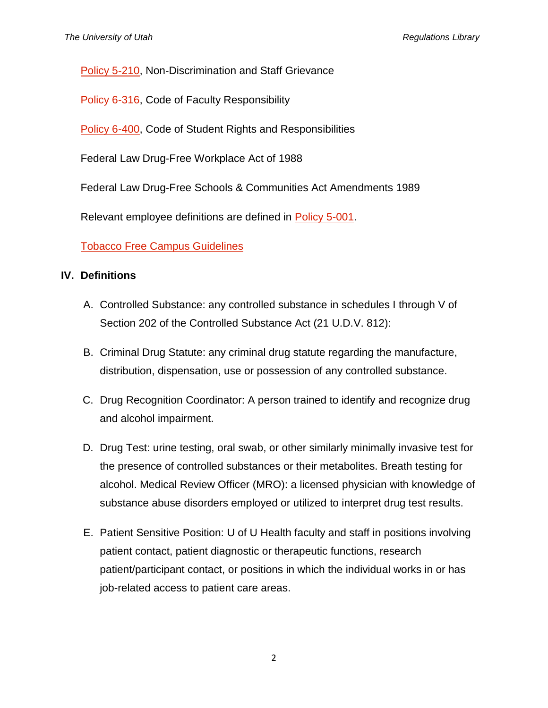[Policy 5-210,](http://regulations.utah.edu/human-resources/5-210.php) Non-Discrimination and Staff Grievance

[Policy 6-316,](http://regulations.utah.edu/academics/6-316.php) Code of Faculty Responsibility

[Policy 6-400,](http://regulations.utah.edu/academics/6-401.php) Code of Student Rights and Responsibilities

Federal Law Drug-Free Workplace Act of 1988

Federal Law Drug-Free Schools & Communities Act Amendments 1989

Relevant employee definitions are defined in [Policy 5-001.](http://regulations.utah.edu/human-resources/5-001.php)

# [Tobacco Free Campus Guidelines](http://regulations.utah.edu/administration/guidelines_3/tobaccoFree.php)

## **IV. Definitions**

- A. Controlled Substance: any controlled substance in schedules I through V of Section 202 of the Controlled Substance Act (21 U.D.V. 812):
- B. Criminal Drug Statute: any criminal drug statute regarding the manufacture, distribution, dispensation, use or possession of any controlled substance.
- C. Drug Recognition Coordinator: A person trained to identify and recognize drug and alcohol impairment.
- D. Drug Test: urine testing, oral swab, or other similarly minimally invasive test for the presence of controlled substances or their metabolites. Breath testing for alcohol. Medical Review Officer (MRO): a licensed physician with knowledge of substance abuse disorders employed or utilized to interpret drug test results.
- E. Patient Sensitive Position: U of U Health faculty and staff in positions involving patient contact, patient diagnostic or therapeutic functions, research patient/participant contact, or positions in which the individual works in or has job-related access to patient care areas.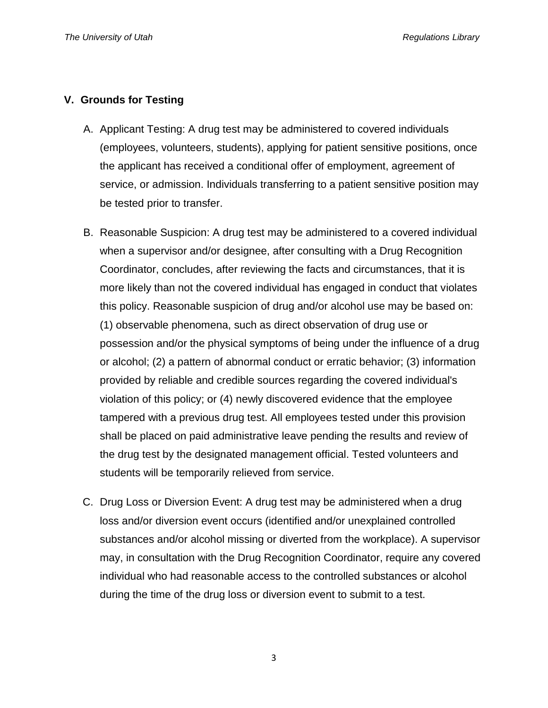#### **V. Grounds for Testing**

- A. Applicant Testing: A drug test may be administered to covered individuals (employees, volunteers, students), applying for patient sensitive positions, once the applicant has received a conditional offer of employment, agreement of service, or admission. Individuals transferring to a patient sensitive position may be tested prior to transfer.
- B. Reasonable Suspicion: A drug test may be administered to a covered individual when a supervisor and/or designee, after consulting with a Drug Recognition Coordinator, concludes, after reviewing the facts and circumstances, that it is more likely than not the covered individual has engaged in conduct that violates this policy. Reasonable suspicion of drug and/or alcohol use may be based on: (1) observable phenomena, such as direct observation of drug use or possession and/or the physical symptoms of being under the influence of a drug or alcohol; (2) a pattern of abnormal conduct or erratic behavior; (3) information provided by reliable and credible sources regarding the covered individual's violation of this policy; or (4) newly discovered evidence that the employee tampered with a previous drug test. All employees tested under this provision shall be placed on paid administrative leave pending the results and review of the drug test by the designated management official. Tested volunteers and students will be temporarily relieved from service.
- C. Drug Loss or Diversion Event: A drug test may be administered when a drug loss and/or diversion event occurs (identified and/or unexplained controlled substances and/or alcohol missing or diverted from the workplace). A supervisor may, in consultation with the Drug Recognition Coordinator, require any covered individual who had reasonable access to the controlled substances or alcohol during the time of the drug loss or diversion event to submit to a test.

3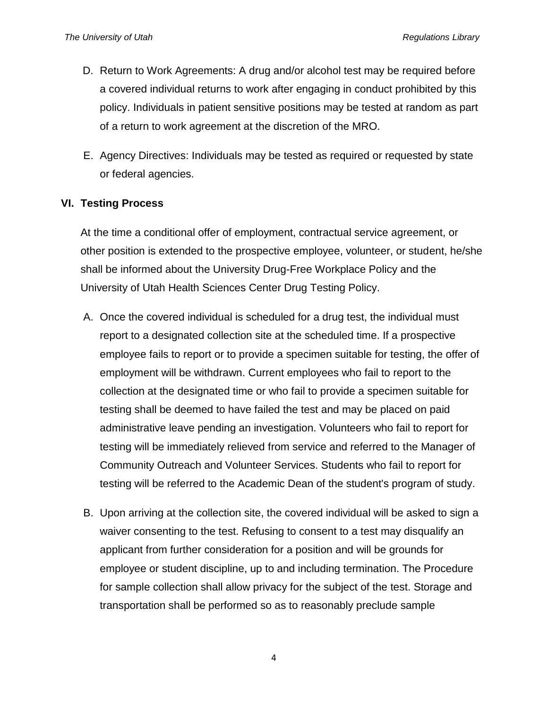- D. Return to Work Agreements: A drug and/or alcohol test may be required before a covered individual returns to work after engaging in conduct prohibited by this policy. Individuals in patient sensitive positions may be tested at random as part of a return to work agreement at the discretion of the MRO.
- E. Agency Directives: Individuals may be tested as required or requested by state or federal agencies.

## **VI. Testing Process**

At the time a conditional offer of employment, contractual service agreement, or other position is extended to the prospective employee, volunteer, or student, he/she shall be informed about the University Drug-Free Workplace Policy and the University of Utah Health Sciences Center Drug Testing Policy.

- A. Once the covered individual is scheduled for a drug test, the individual must report to a designated collection site at the scheduled time. If a prospective employee fails to report or to provide a specimen suitable for testing, the offer of employment will be withdrawn. Current employees who fail to report to the collection at the designated time or who fail to provide a specimen suitable for testing shall be deemed to have failed the test and may be placed on paid administrative leave pending an investigation. Volunteers who fail to report for testing will be immediately relieved from service and referred to the Manager of Community Outreach and Volunteer Services. Students who fail to report for testing will be referred to the Academic Dean of the student's program of study.
- B. Upon arriving at the collection site, the covered individual will be asked to sign a waiver consenting to the test. Refusing to consent to a test may disqualify an applicant from further consideration for a position and will be grounds for employee or student discipline, up to and including termination. The Procedure for sample collection shall allow privacy for the subject of the test. Storage and transportation shall be performed so as to reasonably preclude sample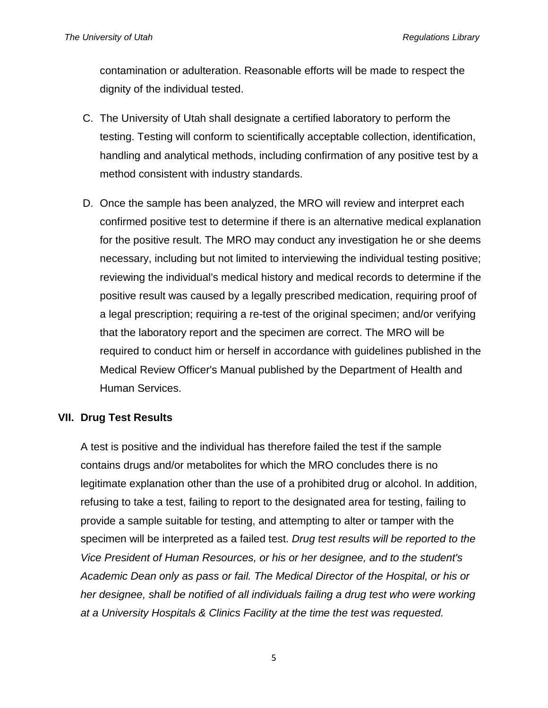contamination or adulteration. Reasonable efforts will be made to respect the dignity of the individual tested.

- C. The University of Utah shall designate a certified laboratory to perform the testing. Testing will conform to scientifically acceptable collection, identification, handling and analytical methods, including confirmation of any positive test by a method consistent with industry standards.
- D. Once the sample has been analyzed, the MRO will review and interpret each confirmed positive test to determine if there is an alternative medical explanation for the positive result. The MRO may conduct any investigation he or she deems necessary, including but not limited to interviewing the individual testing positive; reviewing the individual's medical history and medical records to determine if the positive result was caused by a legally prescribed medication, requiring proof of a legal prescription; requiring a re-test of the original specimen; and/or verifying that the laboratory report and the specimen are correct. The MRO will be required to conduct him or herself in accordance with guidelines published in the Medical Review Officer's Manual published by the Department of Health and Human Services.

## **VII. Drug Test Results**

A test is positive and the individual has therefore failed the test if the sample contains drugs and/or metabolites for which the MRO concludes there is no legitimate explanation other than the use of a prohibited drug or alcohol. In addition, refusing to take a test, failing to report to the designated area for testing, failing to provide a sample suitable for testing, and attempting to alter or tamper with the specimen will be interpreted as a failed test. *Drug test results will be reported to the Vice President of Human Resources, or his or her designee, and to the student's Academic Dean only as pass or fail. The Medical Director of the Hospital, or his or her designee, shall be notified of all individuals failing a drug test who were working at a University Hospitals & Clinics Facility at the time the test was requested.*

5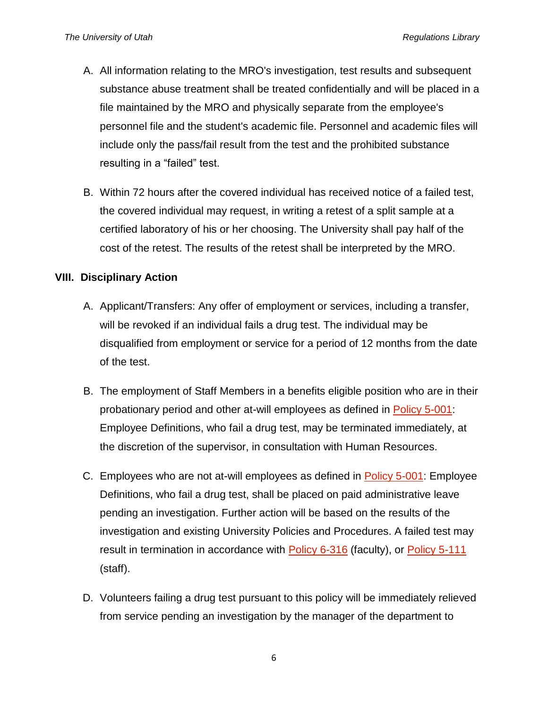- A. All information relating to the MRO's investigation, test results and subsequent substance abuse treatment shall be treated confidentially and will be placed in a file maintained by the MRO and physically separate from the employee's personnel file and the student's academic file. Personnel and academic files will include only the pass/fail result from the test and the prohibited substance resulting in a "failed" test.
- B. Within 72 hours after the covered individual has received notice of a failed test, the covered individual may request, in writing a retest of a split sample at a certified laboratory of his or her choosing. The University shall pay half of the cost of the retest. The results of the retest shall be interpreted by the MRO.

## **VIII. Disciplinary Action**

- A. Applicant/Transfers: Any offer of employment or services, including a transfer, will be revoked if an individual fails a drug test. The individual may be disqualified from employment or service for a period of 12 months from the date of the test.
- B. The employment of Staff Members in a benefits eligible position who are in their probationary period and other at-will employees as defined in [Policy 5-001:](http://regulations.utah.edu/human-resources/5-001.php) Employee Definitions, who fail a drug test, may be terminated immediately, at the discretion of the supervisor, in consultation with Human Resources.
- C. Employees who are not at-will employees as defined in [Policy 5-001:](http://regulations.utah.edu/human-resources/5-001.php) Employee Definitions, who fail a drug test, shall be placed on paid administrative leave pending an investigation. Further action will be based on the results of the investigation and existing University Policies and Procedures. A failed test may result in termination in accordance with [Policy 6-316](http://regulations.utah.edu/academics/6-316.php) (faculty), or [Policy 5-111](http://regulations.utah.edu/human-resources/5-111.php) (staff).
- D. Volunteers failing a drug test pursuant to this policy will be immediately relieved from service pending an investigation by the manager of the department to

6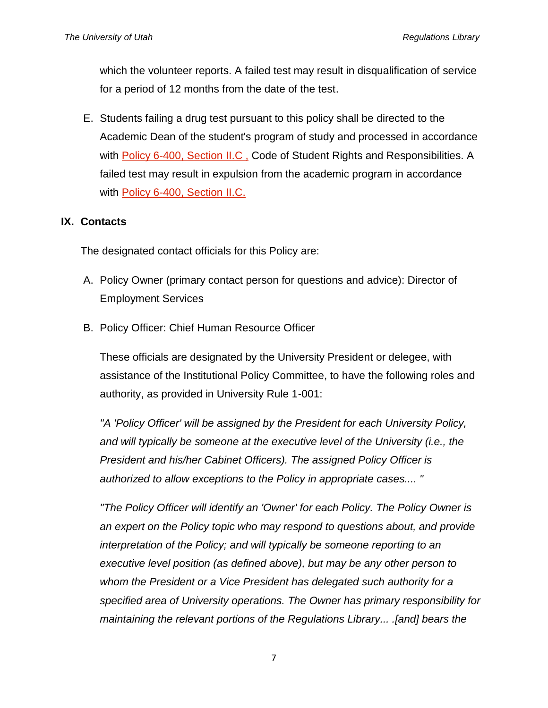which the volunteer reports. A failed test may result in disqualification of service for a period of 12 months from the date of the test.

E. Students failing a drug test pursuant to this policy shall be directed to the Academic Dean of the student's program of study and processed in accordance with Policy 6-400, Section II.C, Code of Student Rights and Responsibilities. A failed test may result in expulsion from the academic program in accordance with [Policy 6-400, Section II.C.](http://regulations.utah.edu/academics/6-400.php)

## **IX. Contacts**

The designated contact officials for this Policy are:

- A. Policy Owner (primary contact person for questions and advice): Director of Employment Services
- B. Policy Officer: Chief Human Resource Officer

These officials are designated by the University President or delegee, with assistance of the Institutional Policy Committee, to have the following roles and authority, as provided in University Rule 1-001:

*"A 'Policy Officer' will be assigned by the President for each University Policy, and will typically be someone at the executive level of the University (i.e., the President and his/her Cabinet Officers). The assigned Policy Officer is authorized to allow exceptions to the Policy in appropriate cases.... "*

*"The Policy Officer will identify an 'Owner' for each Policy. The Policy Owner is an expert on the Policy topic who may respond to questions about, and provide interpretation of the Policy; and will typically be someone reporting to an executive level position (as defined above), but may be any other person to whom the President or a Vice President has delegated such authority for a specified area of University operations. The Owner has primary responsibility for maintaining the relevant portions of the Regulations Library... .[and] bears the*